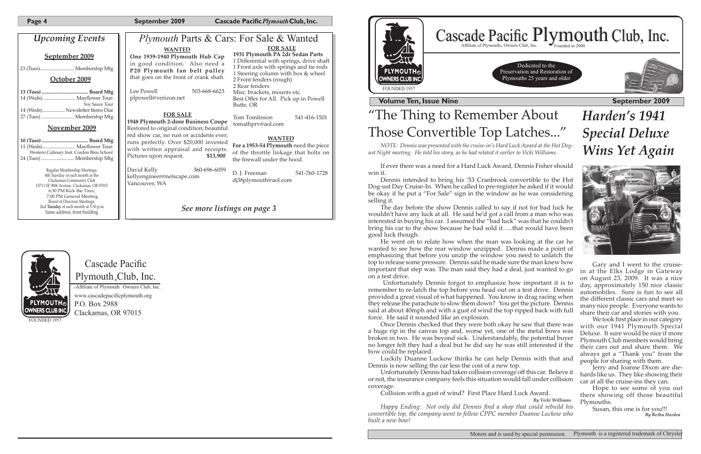| September 2009 |  |
|----------------|--|
|                |  |

**Page 4** September 2009 **Cascade Pacific** *Plymouth* Club, Inc.

## **Cascade Pacific** Plymouth Club, Inc. **®**

**®**Affiliate of Plymouth Owners Club, Inc. www.cascadepacificplymouth.org P.O. Box 2988 Clackamas, OR 97015

FOUNDED 195



**The September 2009 September 2009** 

## ing to Remember About onvertible Top Latches..."



Dedicated to the Preservation and Restoration of Plymouths 25 years and older



*Harden's 1941 Special Deluxe Wins Yet Again*



was presented with the cruise-in's Hard Luck Award at the Hot Dog*ust Night meeting. He told his story, as he had related it earlier to Vicki Williams.*

vas a need for a Hard Luck Award, Dennis Fisher should

ded to bring his '53 Cranbrook convertible to the Hot se-In. When he called to pre-register he asked if it would a "For Sale" sign in the window as he was considering

| <b>Upcoming Events</b>                                                                                                                                              | <i>Plymouth Parts &amp; Cars: For Sale &amp; Wanted</i>                                                                                                                                                           |                                                                                                                                                                                                                                                                                                                   |                                                                                                 |
|---------------------------------------------------------------------------------------------------------------------------------------------------------------------|-------------------------------------------------------------------------------------------------------------------------------------------------------------------------------------------------------------------|-------------------------------------------------------------------------------------------------------------------------------------------------------------------------------------------------------------------------------------------------------------------------------------------------------------------|-------------------------------------------------------------------------------------------------|
| September 2009<br>October 2009<br>Soy Sauce Tour                                                                                                                    | <b>WANTED</b><br>One 1939-1940 Plymouth Hub Cap<br>in good condition. Also need a<br>P20 Plymouth fan belt pulley<br>that goes on the front of crank shaft.<br>503-668-6623<br>Lee Powell<br>plpowell@verizon.net | <b>FOR SALE</b><br>1931 Plymouth PA 2dr Sedan Parts<br>1 Differential with springs, drive shaft<br>1 Front axle with springs and tie rods<br>1 Steering column with box & wheel<br>2 Front fenders (rough)<br>2 Rear fenders<br>Misc. brackets, mounts etc.<br>Best Offer for All. Pick up in Powell<br>Butte, OR | <b>PLYMOUTH</b><br><b>OWNERS CLUB IN</b><br>FOUNDED 1957<br><b>Volume Ten</b>                   |
| 14 (Weds) Newsletter Items Due<br>November 2009                                                                                                                     | <b>FOR SALE</b><br>1948 Plymouth 2-door Business Coupe<br>Restored to original condition; beautiful                                                                                                               | 541-416-1501<br>Tom Tomlinson<br>tomathprv@aol.com                                                                                                                                                                                                                                                                | "The Thi                                                                                        |
| Western Culinary Inst. Cordon Bleu School                                                                                                                           | red show car, no rust or accidents ever;<br>runs perfectly. Over \$20,000 invested<br>with written appraisal and receipts.<br>\$13,900<br>Pictures upon request.                                                  | <b>WANTED</b><br>For a 1953-54 Plymouth need the piece<br>of the throttle linkage that bolts on<br>the firewall under the hood.                                                                                                                                                                                   | Those Co<br>NOTE: Dennis<br>ust Night meeting. H                                                |
| Regular Membership Meetings:<br>4th Tuesday of each month at the<br>Clackamas Community Club<br>15711 SE 90th Avenue Clackamas, OR 97015<br>6:30 PM Kick the Tires, | David Kelly<br>360-696-6059<br>kellyengineer@netscape.com<br>Vancouver, WA                                                                                                                                        | D. J. Freeman<br>541-760-1728<br>dj38plymouth@aol.com                                                                                                                                                                                                                                                             | If ever there w<br>win it.<br>Dennis intend<br>Dog-ust Day Cruis<br>be okay if he put           |
| 7:00 PM General Meeting<br>Board of Directors Meetings:<br>2nd Tuesday of each month at 5:30 p.m.<br>Same address, front building                                   | See more listings on page 3                                                                                                                                                                                       |                                                                                                                                                                                                                                                                                                                   | selling it.<br>The day befor<br>wouldn't have any<br>interested in buyir<br>bring his car to th |



re the show Dennis called to say if not for bad luck he luck at all. He said he'd got a call from a man who was ng his car. I assumed the "bad luck" was that he couldn't be show because he had sold it…..that would have been good luck though.

> Gary and I went to the cruisein at the Elks Lodge in Gateway on August 23, 2009. It was a nice day, approximately 150 nice classic automobiles. Sure is fun to see all the different classic cars and meet so many nice people. Everyone wants to share their car and stories with you.

We took first place in our category with our 1941 Plymouth Special Deluxe. It sure would be nice if more Plymouth Club members would bring their cars out and share them. We always get a "Thank you" from the people for sharing with them.

Jerry and Joanne Dixon are diehards like us. They like showing their car at all the cruise-ins they can.

Hope to see some of you out there showing off those beautiful Plymouths.

Susan, this one is for you!!!  *By Retha Harden*

He went on to relate how when the man was looking at the car he wanted to see how the rear window unzipped. Dennis made a point of emphasizing that before you unzip the window you need to unlatch the top to release some pressure. Dennis said he made sure the man knew how important that step was. The man said they had a deal, just wanted to go on a test drive.

 Unfortunately Dennis forgot to emphasize how important it is to remember to re-latch the top before you head out on a test drive. Dennis provided a great visual of what happened. You know in drag racing when they release the parachute to slow them down? You get the picture. Dennis said at about 40mph and with a gust of wind the top ripped back with full force. He said it sounded like an explosion.

Once Dennis checked that they were both okay he saw that there was a huge rip in the canvas top and, worse yet, one of the metal bows was broken in two. He was beyond sick. Understandably, the potential buyer no longer felt they had a deal but he did say he was still interested if the bow could be replaced.

Luckily Duanne Luckow thinks he can help Dennis with that and Dennis is now selling the car less the cost of a new top.

Unfortunately Dennis had taken collision coverage off this car. Believe it or not, the insurance company feels this situation would fall under collision coverage.

Collision with a gust of wind? First Place Hard Luck Award.

*By Vicki Williams*

*Happy Ending: Not only did Dennis find a shop that could rebuild his convertible top, the company went to fellow CPPC member Duanne Luckow who built a new bow!*